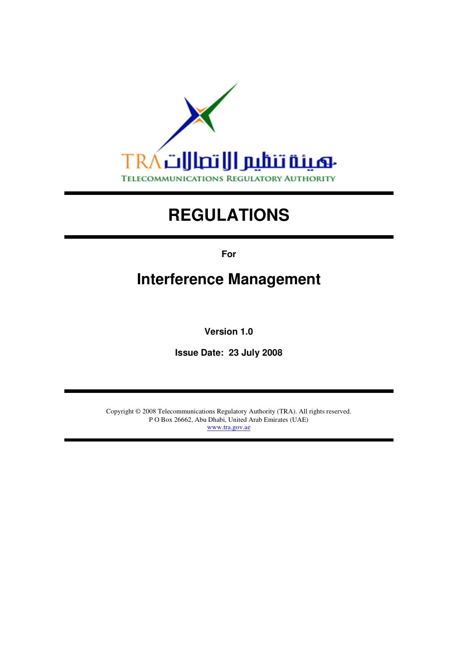

# **REGULATIONS**

**For** 

# **Interference Management**

**Version 1.0**

**Issue Date: 23 July 2008** 

Copyright © 2008 Telecommunications Regulatory Authority (TRA). All rights reserved. P O Box 26662, Abu Dhabi, United Arab Emirates (UAE) www.tra.gov.ae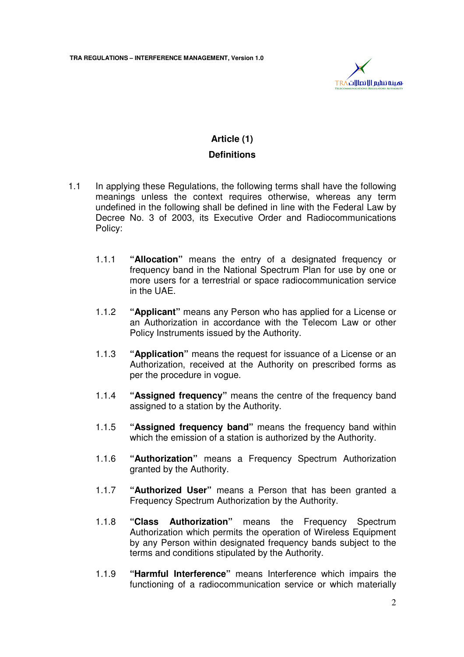

# **Article (1) Definitions**

- 1.1 In applying these Regulations, the following terms shall have the following meanings unless the context requires otherwise, whereas any term undefined in the following shall be defined in line with the Federal Law by Decree No. 3 of 2003, its Executive Order and Radiocommunications Policy:
	- 1.1.1 **"Allocation"** means the entry of a designated frequency or frequency band in the National Spectrum Plan for use by one or more users for a terrestrial or space radiocommunication service in the UAE.
	- 1.1.2 **"Applicant"** means any Person who has applied for a License or an Authorization in accordance with the Telecom Law or other Policy Instruments issued by the Authority.
	- 1.1.3 **"Application"** means the request for issuance of a License or an Authorization, received at the Authority on prescribed forms as per the procedure in vogue.
	- 1.1.4 **"Assigned frequency"** means the centre of the frequency band assigned to a station by the Authority.
	- 1.1.5 **"Assigned frequency band"** means the frequency band within which the emission of a station is authorized by the Authority.
	- 1.1.6 **"Authorization"** means a Frequency Spectrum Authorization granted by the Authority.
	- 1.1.7 **"Authorized User"** means a Person that has been granted a Frequency Spectrum Authorization by the Authority.
	- 1.1.8 **"Class Authorization"** means the Frequency Spectrum Authorization which permits the operation of Wireless Equipment by any Person within designated frequency bands subject to the terms and conditions stipulated by the Authority.
	- 1.1.9 **"Harmful Interference"** means Interference which impairs the functioning of a radiocommunication service or which materially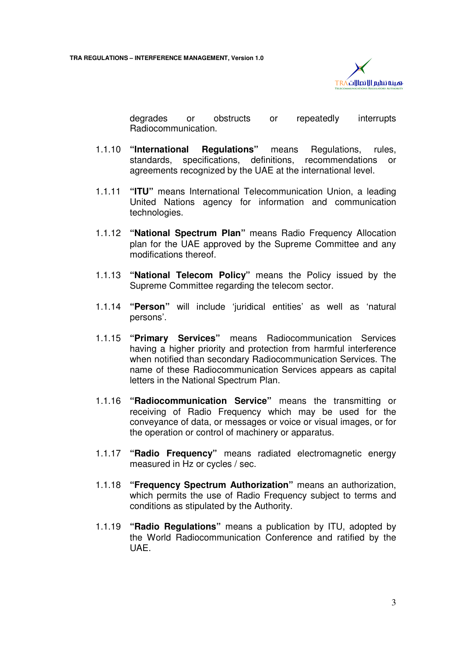

degrades or obstructs or repeatedly interrupts Radiocommunication.

- 1.1.10 **"International Regulations"** means Regulations, rules, standards, specifications, definitions, recommendations or agreements recognized by the UAE at the international level.
- 1.1.11 **"ITU"** means International Telecommunication Union, a leading United Nations agency for information and communication technologies.
- 1.1.12 **"National Spectrum Plan"** means Radio Frequency Allocation plan for the UAE approved by the Supreme Committee and any modifications thereof.
- 1.1.13 **"National Telecom Policy"** means the Policy issued by the Supreme Committee regarding the telecom sector.
- 1.1.14 **"Person"** will include 'juridical entities' as well as 'natural persons'.
- 1.1.15 **"Primary Services"** means Radiocommunication Services having a higher priority and protection from harmful interference when notified than secondary Radiocommunication Services. The name of these Radiocommunication Services appears as capital letters in the National Spectrum Plan.
- 1.1.16 **"Radiocommunication Service"** means the transmitting or receiving of Radio Frequency which may be used for the conveyance of data, or messages or voice or visual images, or for the operation or control of machinery or apparatus.
- 1.1.17 **"Radio Frequency"** means radiated electromagnetic energy measured in Hz or cycles / sec.
- 1.1.18 **"Frequency Spectrum Authorization"** means an authorization, which permits the use of Radio Frequency subject to terms and conditions as stipulated by the Authority.
- 1.1.19 **"Radio Regulations"** means a publication by ITU, adopted by the World Radiocommunication Conference and ratified by the UAE.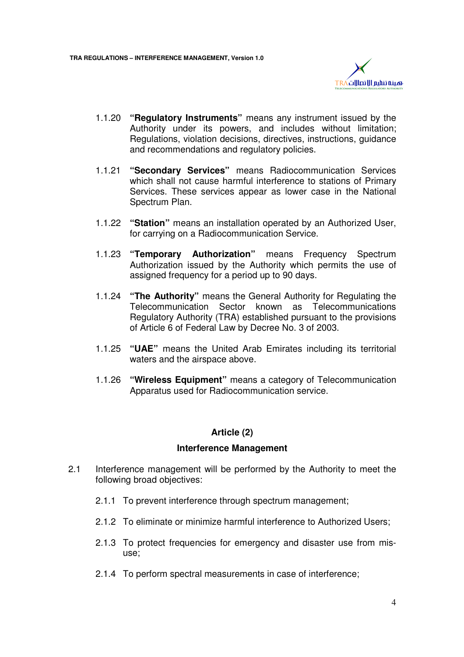

- 1.1.20 **"Regulatory Instruments"** means any instrument issued by the Authority under its powers, and includes without limitation; Regulations, violation decisions, directives, instructions, guidance and recommendations and regulatory policies.
- 1.1.21 **"Secondary Services"** means Radiocommunication Services which shall not cause harmful interference to stations of Primary Services. These services appear as lower case in the National Spectrum Plan.
- 1.1.22 **"Station"** means an installation operated by an Authorized User, for carrying on a Radiocommunication Service.
- 1.1.23 **"Temporary Authorization"** means Frequency Spectrum Authorization issued by the Authority which permits the use of assigned frequency for a period up to 90 days.
- 1.1.24 **"The Authority"** means the General Authority for Regulating the Telecommunication Sector known as Telecommunications Regulatory Authority (TRA) established pursuant to the provisions of Article 6 of Federal Law by Decree No. 3 of 2003.
- 1.1.25 **"UAE"** means the United Arab Emirates including its territorial waters and the airspace above.
- 1.1.26 **"Wireless Equipment"** means a category of Telecommunication Apparatus used for Radiocommunication service.

#### **Article (2)**

#### **Interference Management**

- 2.1 Interference management will be performed by the Authority to meet the following broad objectives:
	- 2.1.1 To prevent interference through spectrum management;
	- 2.1.2 To eliminate or minimize harmful interference to Authorized Users;
	- 2.1.3 To protect frequencies for emergency and disaster use from misuse;
	- 2.1.4 To perform spectral measurements in case of interference;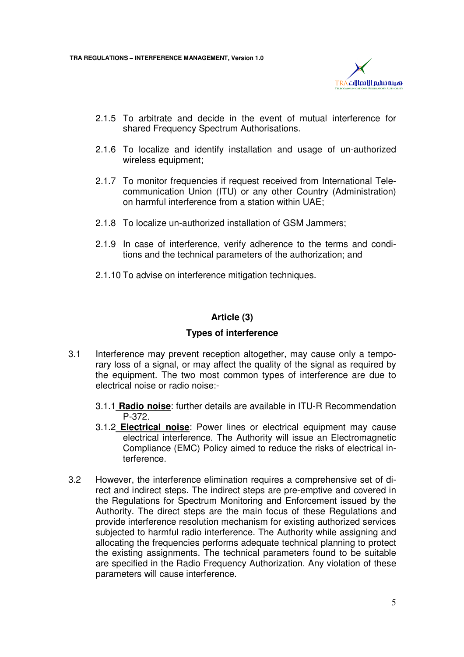

- 2.1.5 To arbitrate and decide in the event of mutual interference for shared Frequency Spectrum Authorisations.
- 2.1.6 To localize and identify installation and usage of un-authorized wireless equipment;
- 2.1.7 To monitor frequencies if request received from International Telecommunication Union (ITU) or any other Country (Administration) on harmful interference from a station within UAE;
- 2.1.8 To localize un-authorized installation of GSM Jammers;
- 2.1.9 In case of interference, verify adherence to the terms and conditions and the technical parameters of the authorization; and
- 2.1.10 To advise on interference mitigation techniques.

#### **Article (3)**

#### **Types of interference**

- 3.1 Interference may prevent reception altogether, may cause only a temporary loss of a signal, or may affect the quality of the signal as required by the equipment. The two most common types of interference are due to electrical noise or radio noise:-
	- 3.1.1 **Radio noise**: further details are available in ITU-R Recommendation P-372.
	- 3.1.2 **Electrical noise**: Power lines or electrical equipment may cause electrical interference. The Authority will issue an Electromagnetic Compliance (EMC) Policy aimed to reduce the risks of electrical interference.
- 3.2 However, the interference elimination requires a comprehensive set of direct and indirect steps. The indirect steps are pre-emptive and covered in the Regulations for Spectrum Monitoring and Enforcement issued by the Authority. The direct steps are the main focus of these Regulations and provide interference resolution mechanism for existing authorized services subjected to harmful radio interference. The Authority while assigning and allocating the frequencies performs adequate technical planning to protect the existing assignments. The technical parameters found to be suitable are specified in the Radio Frequency Authorization. Any violation of these parameters will cause interference.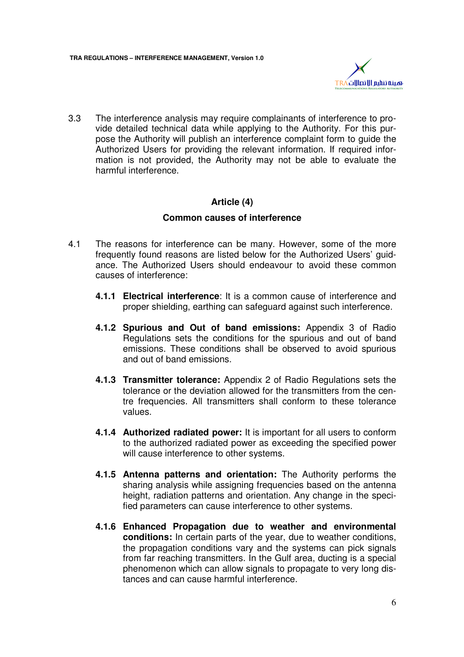

3.3 The interference analysis may require complainants of interference to provide detailed technical data while applying to the Authority. For this purpose the Authority will publish an interference complaint form to guide the Authorized Users for providing the relevant information. If required information is not provided, the Authority may not be able to evaluate the harmful interference.

# **Article (4)**

#### **Common causes of interference**

- 4.1 The reasons for interference can be many. However, some of the more frequently found reasons are listed below for the Authorized Users' guidance. The Authorized Users should endeavour to avoid these common causes of interference:
	- **4.1.1 Electrical interference**: It is a common cause of interference and proper shielding, earthing can safeguard against such interference.
	- **4.1.2 Spurious and Out of band emissions:** Appendix 3 of Radio Regulations sets the conditions for the spurious and out of band emissions. These conditions shall be observed to avoid spurious and out of band emissions.
	- **4.1.3 Transmitter tolerance:** Appendix 2 of Radio Regulations sets the tolerance or the deviation allowed for the transmitters from the centre frequencies. All transmitters shall conform to these tolerance values.
	- **4.1.4 Authorized radiated power:** It is important for all users to conform to the authorized radiated power as exceeding the specified power will cause interference to other systems.
	- **4.1.5 Antenna patterns and orientation:** The Authority performs the sharing analysis while assigning frequencies based on the antenna height, radiation patterns and orientation. Any change in the specified parameters can cause interference to other systems.
	- **4.1.6 Enhanced Propagation due to weather and environmental conditions:** In certain parts of the year, due to weather conditions, the propagation conditions vary and the systems can pick signals from far reaching transmitters. In the Gulf area, ducting is a special phenomenon which can allow signals to propagate to very long distances and can cause harmful interference.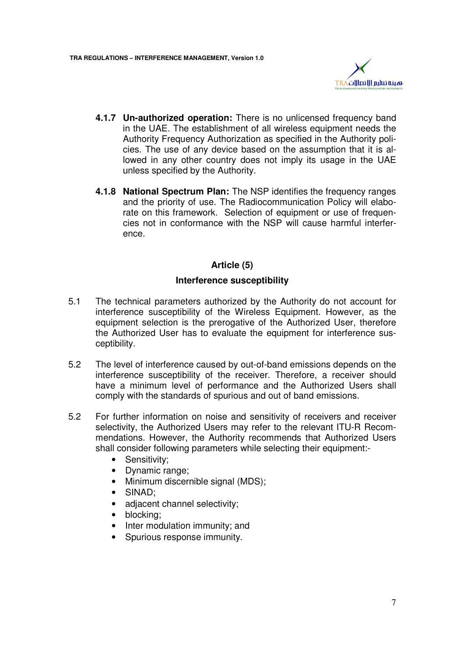

- **4.1.7 Un-authorized operation:** There is no unlicensed frequency band in the UAE. The establishment of all wireless equipment needs the Authority Frequency Authorization as specified in the Authority policies. The use of any device based on the assumption that it is allowed in any other country does not imply its usage in the UAE unless specified by the Authority.
- **4.1.8 National Spectrum Plan:** The NSP identifies the frequency ranges and the priority of use. The Radiocommunication Policy will elaborate on this framework. Selection of equipment or use of frequencies not in conformance with the NSP will cause harmful interference.

#### **Article (5)**

#### **Interference susceptibility**

- 5.1 The technical parameters authorized by the Authority do not account for interference susceptibility of the Wireless Equipment. However, as the equipment selection is the prerogative of the Authorized User, therefore the Authorized User has to evaluate the equipment for interference susceptibility.
- 5.2 The level of interference caused by out-of-band emissions depends on the interference susceptibility of the receiver. Therefore, a receiver should have a minimum level of performance and the Authorized Users shall comply with the standards of spurious and out of band emissions.
- 5.2 For further information on noise and sensitivity of receivers and receiver selectivity, the Authorized Users may refer to the relevant ITU-R Recommendations. However, the Authority recommends that Authorized Users shall consider following parameters while selecting their equipment:-
	- Sensitivity;
	- Dynamic range;
	- Minimum discernible signal (MDS);
	- SINAD;
	- adiacent channel selectivity:
	- blocking;
	- Inter modulation immunity; and
	- Spurious response immunity.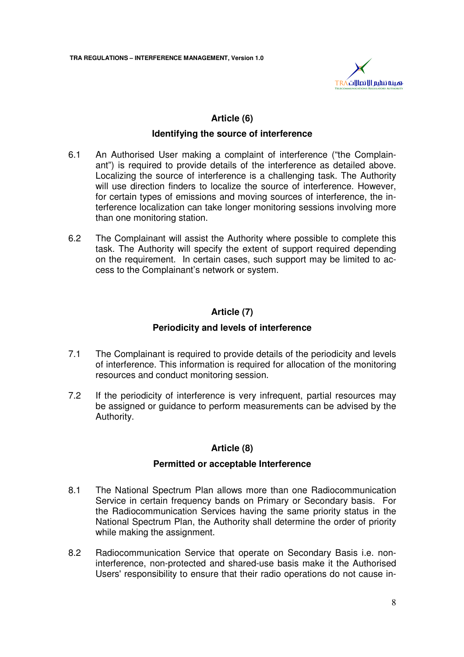

# **Article (6)**

#### **Identifying the source of interference**

- 6.1 An Authorised User making a complaint of interference ("the Complainant") is required to provide details of the interference as detailed above. Localizing the source of interference is a challenging task. The Authority will use direction finders to localize the source of interference. However, for certain types of emissions and moving sources of interference, the interference localization can take longer monitoring sessions involving more than one monitoring station.
- 6.2 The Complainant will assist the Authority where possible to complete this task. The Authority will specify the extent of support required depending on the requirement. In certain cases, such support may be limited to access to the Complainant's network or system.

# **Article (7)**

#### **Periodicity and levels of interference**

- 7.1 The Complainant is required to provide details of the periodicity and levels of interference. This information is required for allocation of the monitoring resources and conduct monitoring session.
- 7.2 If the periodicity of interference is very infrequent, partial resources may be assigned or guidance to perform measurements can be advised by the Authority.

# **Article (8)**

#### **Permitted or acceptable Interference**

- 8.1 The National Spectrum Plan allows more than one Radiocommunication Service in certain frequency bands on Primary or Secondary basis. For the Radiocommunication Services having the same priority status in the National Spectrum Plan, the Authority shall determine the order of priority while making the assignment.
- 8.2 Radiocommunication Service that operate on Secondary Basis i.e. noninterference, non-protected and shared-use basis make it the Authorised Users' responsibility to ensure that their radio operations do not cause in-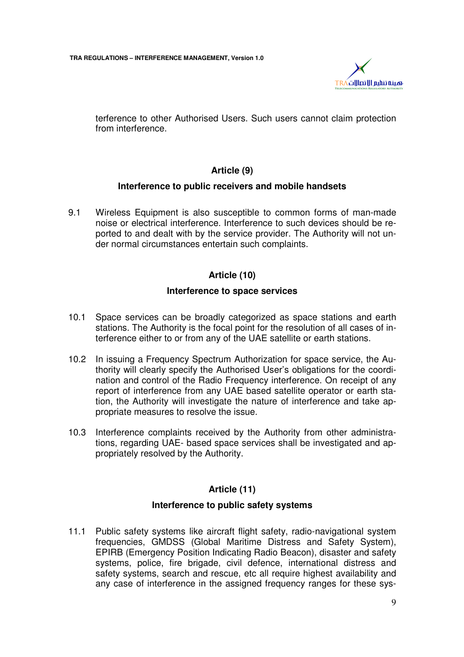**TRA REGULATIONS – INTERFERENCE MANAGEMENT, Version 1.0**



terference to other Authorised Users. Such users cannot claim protection from interference.

#### **Article (9)**

#### **Interference to public receivers and mobile handsets**

9.1 Wireless Equipment is also susceptible to common forms of man-made noise or electrical interference. Interference to such devices should be reported to and dealt with by the service provider. The Authority will not under normal circumstances entertain such complaints.

#### **Article (10)**

#### **Interference to space services**

- 10.1 Space services can be broadly categorized as space stations and earth stations. The Authority is the focal point for the resolution of all cases of interference either to or from any of the UAE satellite or earth stations.
- 10.2 In issuing a Frequency Spectrum Authorization for space service, the Authority will clearly specify the Authorised User's obligations for the coordination and control of the Radio Frequency interference. On receipt of any report of interference from any UAE based satellite operator or earth station, the Authority will investigate the nature of interference and take appropriate measures to resolve the issue.
- 10.3 Interference complaints received by the Authority from other administrations, regarding UAE- based space services shall be investigated and appropriately resolved by the Authority.

#### **Article (11)**

#### **Interference to public safety systems**

11.1 Public safety systems like aircraft flight safety, radio-navigational system frequencies, GMDSS (Global Maritime Distress and Safety System), EPIRB (Emergency Position Indicating Radio Beacon), disaster and safety systems, police, fire brigade, civil defence, international distress and safety systems, search and rescue, etc all require highest availability and any case of interference in the assigned frequency ranges for these sys-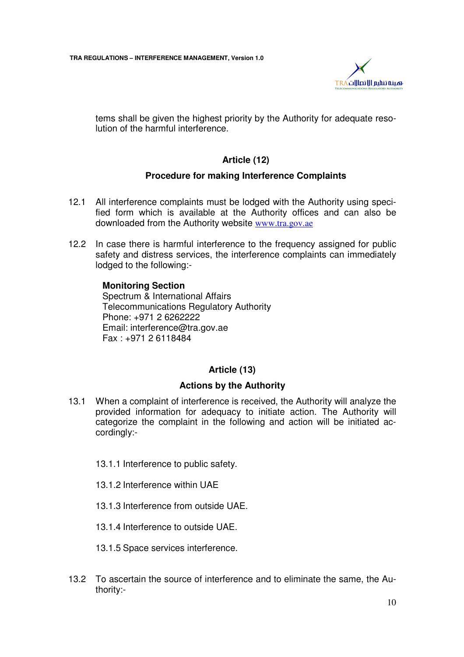

tems shall be given the highest priority by the Authority for adequate resolution of the harmful interference.

# **Article (12)**

#### **Procedure for making Interference Complaints**

- 12.1 All interference complaints must be lodged with the Authority using specified form which is available at the Authority offices and can also be downloaded from the Authority website www.tra.gov.ae
- 12.2 In case there is harmful interference to the frequency assigned for public safety and distress services, the interference complaints can immediately lodged to the following:-

#### **Monitoring Section**

Spectrum & International Affairs Telecommunications Regulatory Authority Phone: +971 2 6262222 Email: interference@tra.gov.ae Fax : +971 2 6118484

#### **Article (13)**

#### **Actions by the Authority**

- 13.1 When a complaint of interference is received, the Authority will analyze the provided information for adequacy to initiate action. The Authority will categorize the complaint in the following and action will be initiated accordingly:-
	- 13.1.1 Interference to public safety.
	- 13.1.2 Interference within UAE
	- 13.1.3 Interference from outside UAE.
	- 13.1.4 Interference to outside UAE.
	- 13.1.5 Space services interference.
- 13.2 To ascertain the source of interference and to eliminate the same, the Authority:-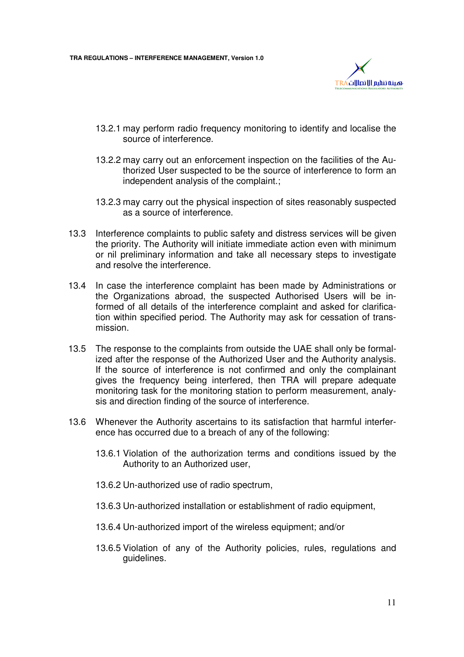

- 13.2.1 may perform radio frequency monitoring to identify and localise the source of interference.
- 13.2.2 may carry out an enforcement inspection on the facilities of the Authorized User suspected to be the source of interference to form an independent analysis of the complaint.;
- 13.2.3 may carry out the physical inspection of sites reasonably suspected as a source of interference.
- 13.3 Interference complaints to public safety and distress services will be given the priority. The Authority will initiate immediate action even with minimum or nil preliminary information and take all necessary steps to investigate and resolve the interference.
- 13.4 In case the interference complaint has been made by Administrations or the Organizations abroad, the suspected Authorised Users will be informed of all details of the interference complaint and asked for clarification within specified period. The Authority may ask for cessation of transmission.
- 13.5 The response to the complaints from outside the UAE shall only be formalized after the response of the Authorized User and the Authority analysis. If the source of interference is not confirmed and only the complainant gives the frequency being interfered, then TRA will prepare adequate monitoring task for the monitoring station to perform measurement, analysis and direction finding of the source of interference.
- 13.6 Whenever the Authority ascertains to its satisfaction that harmful interference has occurred due to a breach of any of the following:
	- 13.6.1 Violation of the authorization terms and conditions issued by the Authority to an Authorized user,
	- 13.6.2 Un-authorized use of radio spectrum,
	- 13.6.3 Un-authorized installation or establishment of radio equipment,
	- 13.6.4 Un-authorized import of the wireless equipment; and/or
	- 13.6.5 Violation of any of the Authority policies, rules, regulations and guidelines.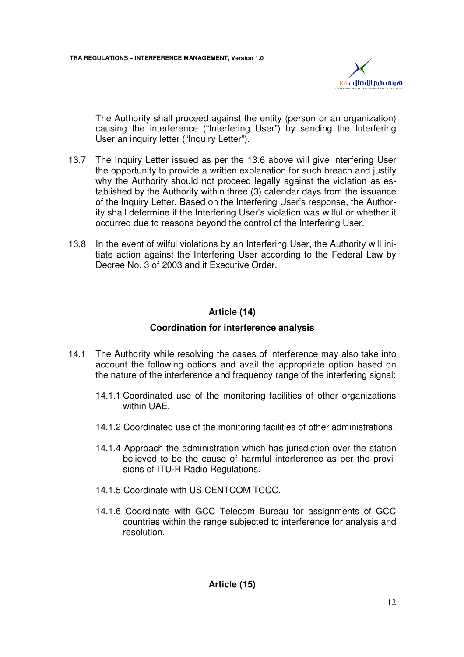

The Authority shall proceed against the entity (person or an organization) causing the interference ("Interfering User") by sending the Interfering User an inquiry letter ("Inquiry Letter").

- 13.7 The Inquiry Letter issued as per the 13.6 above will give Interfering User the opportunity to provide a written explanation for such breach and justify why the Authority should not proceed legally against the violation as established by the Authority within three (3) calendar days from the issuance of the Inquiry Letter. Based on the Interfering User's response, the Authority shall determine if the Interfering User's violation was wilful or whether it occurred due to reasons beyond the control of the Interfering User.
- 13.8 In the event of wilful violations by an Interfering User, the Authority will initiate action against the Interfering User according to the Federal Law by Decree No. 3 of 2003 and it Executive Order.

# **Article (14)**

#### **Coordination for interference analysis**

- 14.1 The Authority while resolving the cases of interference may also take into account the following options and avail the appropriate option based on the nature of the interference and frequency range of the interfering signal:
	- 14.1.1 Coordinated use of the monitoring facilities of other organizations within UAE.
	- 14.1.2 Coordinated use of the monitoring facilities of other administrations,
	- 14.1.4 Approach the administration which has jurisdiction over the station believed to be the cause of harmful interference as per the provisions of ITU-R Radio Regulations.
	- 14.1.5 Coordinate with US CENTCOM TCCC.
	- 14.1.6 Coordinate with GCC Telecom Bureau for assignments of GCC countries within the range subjected to interference for analysis and resolution.